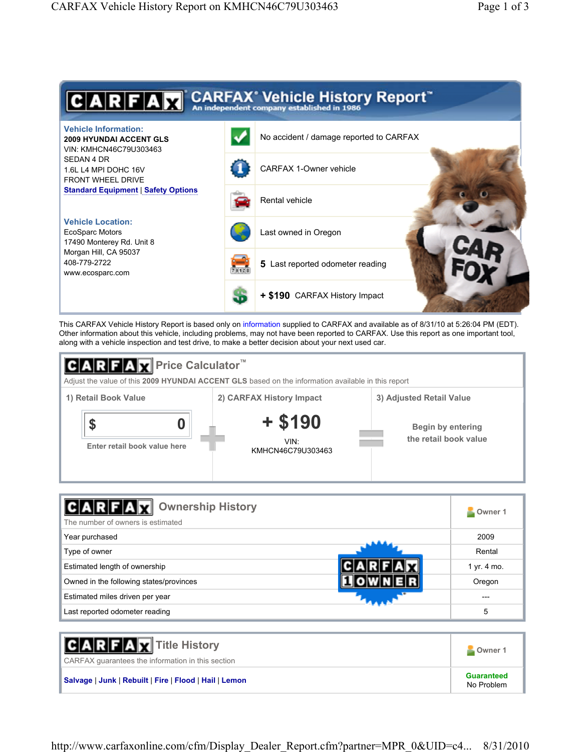

This CARFAX Vehicle History Report is based only on information supplied to CARFAX and available as of 8/31/10 at 5:26:04 PM (EDT). Other information about this vehicle, including problems, may not have been reported to CARFAX. Use this report as one important tool, along with a vehicle inspection and test drive, to make a better decision about your next used car.



| <b>Ownership History</b><br>The number of owners is estimated | Owner 1     |
|---------------------------------------------------------------|-------------|
| Year purchased                                                | 2009        |
| Type of owner                                                 | Rental      |
| Estimated length of ownership                                 | 1 yr. 4 mo. |
| Owned in the following states/provinces                       | Oregon      |
| Estimated miles driven per year                               | ---         |
| Last reported odometer reading                                | 5           |

| <b>CARFAX</b> Title History<br>CARFAX quarantees the information in this section | Owner 1                         |
|----------------------------------------------------------------------------------|---------------------------------|
| Salvage   Junk   Rebuilt   Fire   Flood   Hail   Lemon                           | <b>Guaranteed</b><br>No Problem |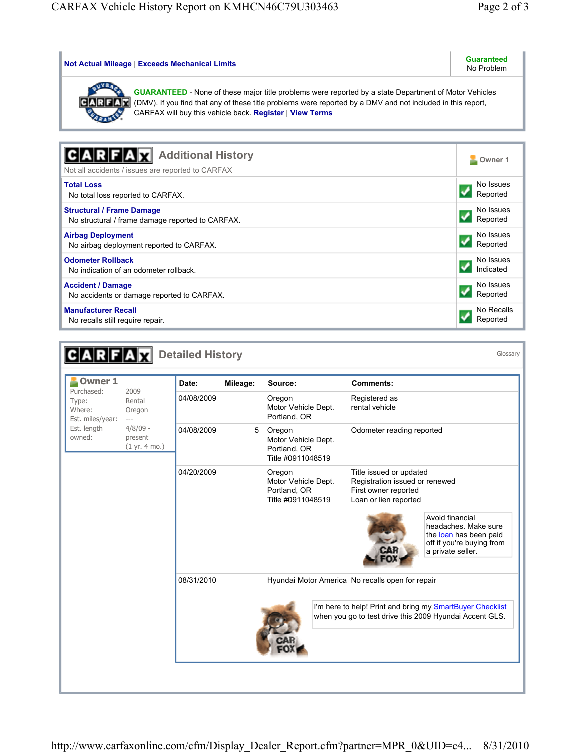| <b>Not Actual Mileage   Exceeds Mechanical Limits</b>                                                                                                                                                                                                                                   | Guaranteed<br>No Problem |
|-----------------------------------------------------------------------------------------------------------------------------------------------------------------------------------------------------------------------------------------------------------------------------------------|--------------------------|
| <b>GUARANTEED</b> - None of these major title problems were reported by a state Department of Motor Vehicles<br>(DMV). If you find that any of these title problems were reported by a DMV and not included in this report,<br>CARFAX will buy this vehicle back. Register   View Terms |                          |
|                                                                                                                                                                                                                                                                                         |                          |
| <b>Additional History</b>                                                                                                                                                                                                                                                               | Owner 1                  |
| Not all accidents / issues are reported to CARFAX                                                                                                                                                                                                                                       |                          |
| <b>Total Loss</b>                                                                                                                                                                                                                                                                       | No Issues                |
| No total loss reported to CARFAX.                                                                                                                                                                                                                                                       | Reported                 |
| <b>Structural / Frame Damage</b>                                                                                                                                                                                                                                                        | No Issues                |
| No structural / frame damage reported to CARFAX.                                                                                                                                                                                                                                        | Reported                 |
| <b>Airbag Deployment</b>                                                                                                                                                                                                                                                                | No Issues                |
| No airbag deployment reported to CARFAX.                                                                                                                                                                                                                                                | Reported                 |
| <b>Odometer Rollback</b>                                                                                                                                                                                                                                                                | No Issues                |
| No indication of an odometer rollback.                                                                                                                                                                                                                                                  | Indicated                |
| <b>Accident / Damage</b>                                                                                                                                                                                                                                                                | No Issues                |
| No accidents or damage reported to CARFAX.                                                                                                                                                                                                                                              | Reported                 |
| <b>Manufacturer Recall</b>                                                                                                                                                                                                                                                              | No Recalls               |
| No recalls still require repair.                                                                                                                                                                                                                                                        | Reported                 |

| <b>Owner 1</b>                                                             | 2009<br>Rental<br>Oregon<br>$---$<br>$4/8/09$ -<br>present<br>(1 yr. 4 mo.) | Date:      | Mileage: | Source:                                                            | <b>Comments:</b>                                                                                                     |                                                                                                                     |
|----------------------------------------------------------------------------|-----------------------------------------------------------------------------|------------|----------|--------------------------------------------------------------------|----------------------------------------------------------------------------------------------------------------------|---------------------------------------------------------------------------------------------------------------------|
| Purchased:<br>Type:<br>Where:<br>Est. miles/year:<br>Est. length<br>owned: |                                                                             | 04/08/2009 |          | Oregon<br>Motor Vehicle Dept.<br>Portland, OR                      | Registered as<br>rental vehicle                                                                                      |                                                                                                                     |
|                                                                            |                                                                             | 04/08/2009 | 5        | Oregon<br>Motor Vehicle Dept.<br>Portland, OR<br>Title #0911048519 | Odometer reading reported                                                                                            |                                                                                                                     |
|                                                                            |                                                                             | 04/20/2009 |          | Oregon<br>Motor Vehicle Dept.<br>Portland, OR<br>Title #0911048519 | Title issued or updated<br>Registration issued or renewed<br>First owner reported<br>Loan or lien reported           | Avoid financial<br>headaches. Make sure<br>the loan has been paid<br>off if you're buying from<br>a private seller. |
|                                                                            |                                                                             | 08/31/2010 |          |                                                                    | Hyundai Motor America No recalls open for repair                                                                     |                                                                                                                     |
|                                                                            |                                                                             |            |          |                                                                    | I'm here to help! Print and bring my SmartBuyer Checklist<br>when you go to test drive this 2009 Hyundai Accent GLS. |                                                                                                                     |